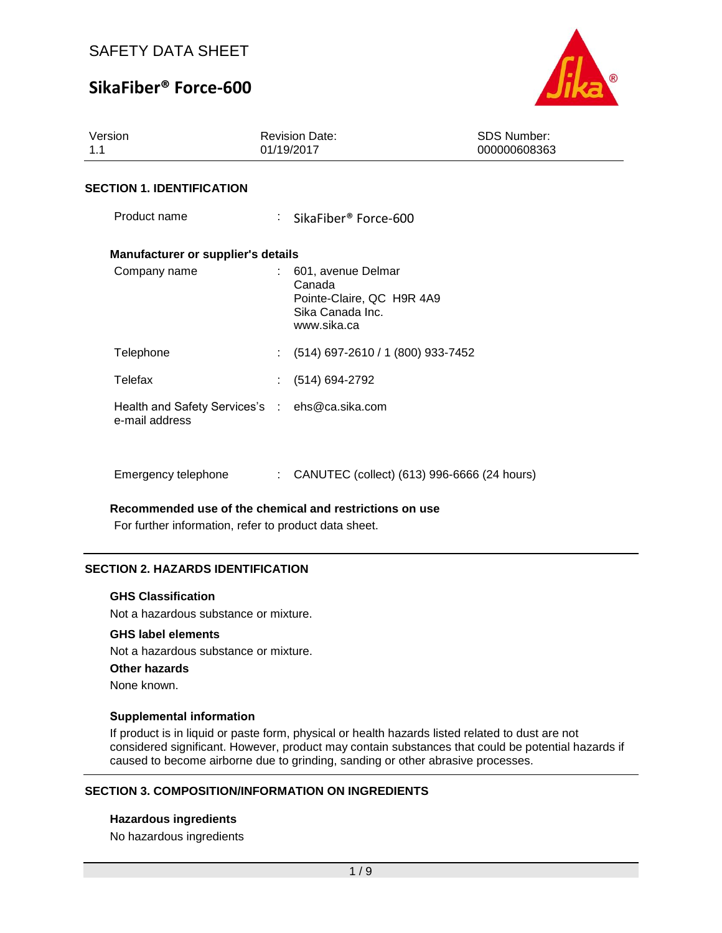# **SikaFiber® Force-600**



| Version<br>1.1                                                   | <b>Revision Date:</b><br>01/19/2017                                                          | <b>SDS Number:</b><br>000000608363 |  |  |  |
|------------------------------------------------------------------|----------------------------------------------------------------------------------------------|------------------------------------|--|--|--|
| <b>SECTION 1. IDENTIFICATION</b>                                 |                                                                                              |                                    |  |  |  |
| Product name                                                     | : SikaFiber® Force-600                                                                       |                                    |  |  |  |
| Manufacturer or supplier's details                               |                                                                                              |                                    |  |  |  |
| Company name                                                     | 601, avenue Delmar<br>Canada<br>Pointe-Claire, QC H9R 4A9<br>Sika Canada Inc.<br>www.sika.ca |                                    |  |  |  |
| Telephone                                                        | $(514)$ 697-2610 / 1 (800) 933-7452                                                          |                                    |  |  |  |
| Telefax                                                          | (514) 694-2792                                                                               |                                    |  |  |  |
| Health and Safety Services's : ehs@ca.sika.com<br>e-mail address |                                                                                              |                                    |  |  |  |
| Emergency telephone                                              | CANUTEC (collect) (613) 996-6666 (24 hours)                                                  |                                    |  |  |  |

#### **Recommended use of the chemical and restrictions on use**

For further information, refer to product data sheet.

## **SECTION 2. HAZARDS IDENTIFICATION**

#### **GHS Classification**

Not a hazardous substance or mixture.

### **GHS label elements**

Not a hazardous substance or mixture.

#### **Other hazards**

None known.

#### **Supplemental information**

If product is in liquid or paste form, physical or health hazards listed related to dust are not considered significant. However, product may contain substances that could be potential hazards if caused to become airborne due to grinding, sanding or other abrasive processes.

## **SECTION 3. COMPOSITION/INFORMATION ON INGREDIENTS**

### **Hazardous ingredients**

No hazardous ingredients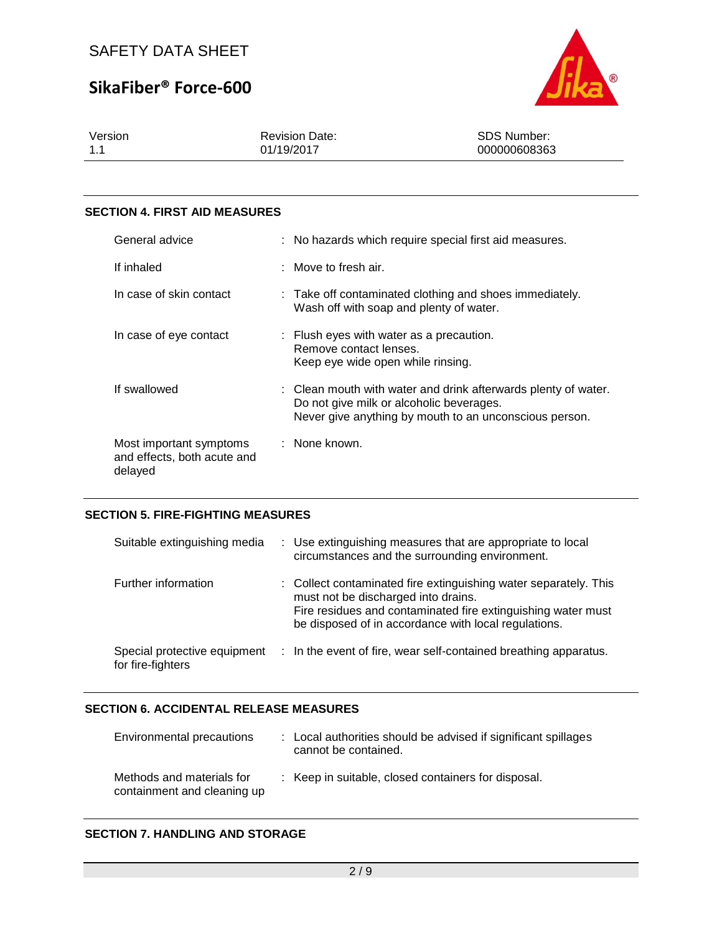# **SikaFiber® Force-600**



| Version | <b>Revision Date:</b> | <b>SDS Number:</b> |
|---------|-----------------------|--------------------|
| 1.1     | 01/19/2017            | 000000608363       |

#### **SECTION 4. FIRST AID MEASURES**

| General advice                                                    | : No hazards which require special first aid measures.                                                                                                               |  |
|-------------------------------------------------------------------|----------------------------------------------------------------------------------------------------------------------------------------------------------------------|--|
| If inhaled                                                        | $\therefore$ Move to fresh air.                                                                                                                                      |  |
| In case of skin contact                                           | : Take off contaminated clothing and shoes immediately.<br>Wash off with soap and plenty of water.                                                                   |  |
| In case of eye contact                                            | : Flush eyes with water as a precaution.<br>Remove contact lenses.<br>Keep eye wide open while rinsing.                                                              |  |
| If swallowed                                                      | : Clean mouth with water and drink afterwards plenty of water.<br>Do not give milk or alcoholic beverages.<br>Never give anything by mouth to an unconscious person. |  |
| Most important symptoms<br>and effects, both acute and<br>delayed | : None known.                                                                                                                                                        |  |

#### **SECTION 5. FIRE-FIGHTING MEASURES**

| Suitable extinguishing media                      | : Use extinguishing measures that are appropriate to local<br>circumstances and the surrounding environment.                                                                                                                    |
|---------------------------------------------------|---------------------------------------------------------------------------------------------------------------------------------------------------------------------------------------------------------------------------------|
| Further information                               | : Collect contaminated fire extinguishing water separately. This<br>must not be discharged into drains.<br>Fire residues and contaminated fire extinguishing water must<br>be disposed of in accordance with local regulations. |
| Special protective equipment<br>for fire-fighters | : In the event of fire, wear self-contained breathing apparatus.                                                                                                                                                                |

## **SECTION 6. ACCIDENTAL RELEASE MEASURES**

| Environmental precautions                                | : Local authorities should be advised if significant spillages<br>cannot be contained. |
|----------------------------------------------------------|----------------------------------------------------------------------------------------|
| Methods and materials for<br>containment and cleaning up | : Keep in suitable, closed containers for disposal.                                    |

### **SECTION 7. HANDLING AND STORAGE**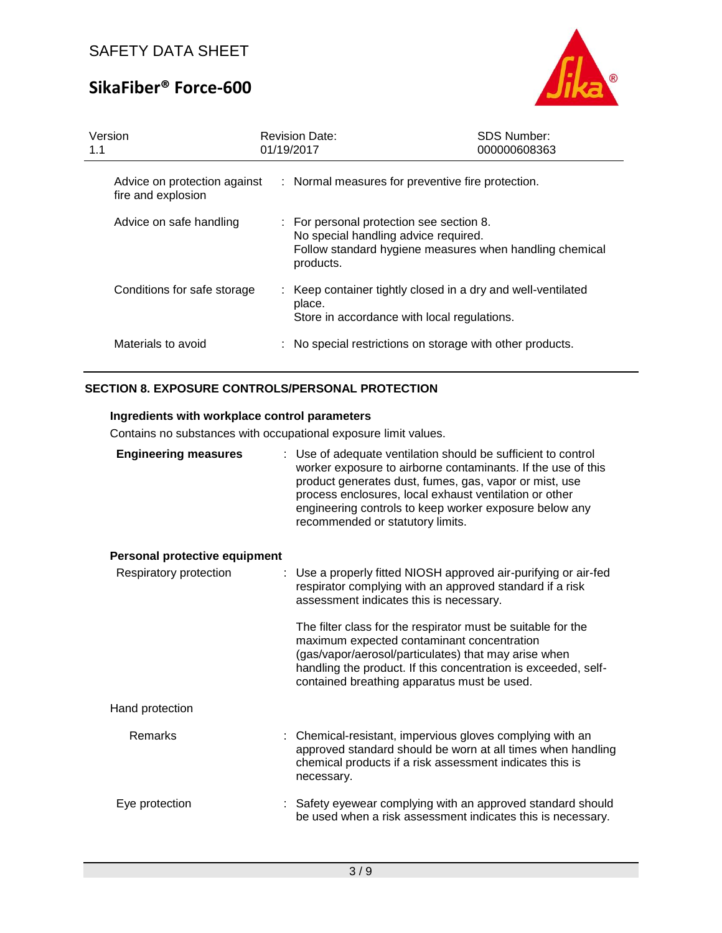# **SikaFiber® Force-600**



| 1.1 | Version                                            |  | <b>Revision Date:</b><br>01/19/2017                                                                                                                      | <b>SDS Number:</b><br>000000608363 |  |
|-----|----------------------------------------------------|--|----------------------------------------------------------------------------------------------------------------------------------------------------------|------------------------------------|--|
|     | Advice on protection against<br>fire and explosion |  | : Normal measures for preventive fire protection.                                                                                                        |                                    |  |
|     | Advice on safe handling                            |  | : For personal protection see section 8.<br>No special handling advice required.<br>Follow standard hygiene measures when handling chemical<br>products. |                                    |  |
|     | Conditions for safe storage                        |  | : Keep container tightly closed in a dry and well-ventilated<br>place.<br>Store in accordance with local regulations.                                    |                                    |  |
|     | Materials to avoid                                 |  | : No special restrictions on storage with other products.                                                                                                |                                    |  |

## **SECTION 8. EXPOSURE CONTROLS/PERSONAL PROTECTION**

## **Ingredients with workplace control parameters**

Contains no substances with occupational exposure limit values.

| <b>Engineering measures</b>   | : Use of adequate ventilation should be sufficient to control<br>worker exposure to airborne contaminants. If the use of this<br>product generates dust, fumes, gas, vapor or mist, use<br>process enclosures, local exhaust ventilation or other<br>engineering controls to keep worker exposure below any<br>recommended or statutory limits. |
|-------------------------------|-------------------------------------------------------------------------------------------------------------------------------------------------------------------------------------------------------------------------------------------------------------------------------------------------------------------------------------------------|
| Personal protective equipment |                                                                                                                                                                                                                                                                                                                                                 |
| Respiratory protection        | : Use a properly fitted NIOSH approved air-purifying or air-fed<br>respirator complying with an approved standard if a risk<br>assessment indicates this is necessary.                                                                                                                                                                          |
|                               | The filter class for the respirator must be suitable for the<br>maximum expected contaminant concentration<br>(gas/vapor/aerosol/particulates) that may arise when<br>handling the product. If this concentration is exceeded, self-<br>contained breathing apparatus must be used.                                                             |
| Hand protection               |                                                                                                                                                                                                                                                                                                                                                 |
| Remarks                       | Chemical-resistant, impervious gloves complying with an<br>approved standard should be worn at all times when handling<br>chemical products if a risk assessment indicates this is<br>necessary.                                                                                                                                                |
| Eye protection                | : Safety eyewear complying with an approved standard should<br>be used when a risk assessment indicates this is necessary.                                                                                                                                                                                                                      |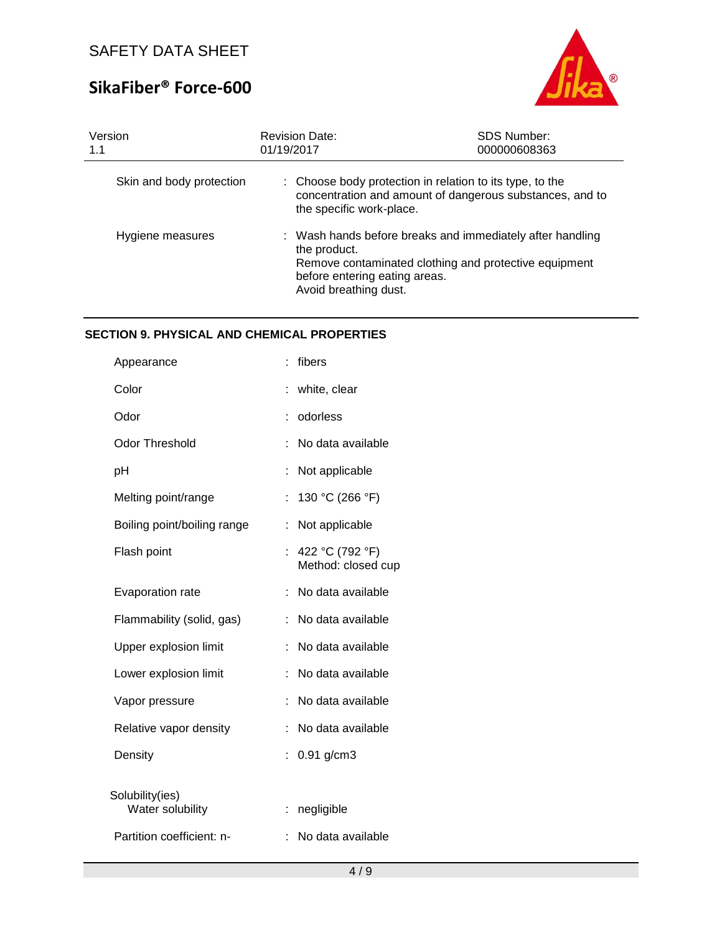# **SikaFiber® Force-600**



| Version<br>1.1           | <b>Revision Date:</b><br>01/19/2017                                                                                                                                                          | <b>SDS Number:</b><br>000000608363 |  |
|--------------------------|----------------------------------------------------------------------------------------------------------------------------------------------------------------------------------------------|------------------------------------|--|
| Skin and body protection | : Choose body protection in relation to its type, to the<br>concentration and amount of dangerous substances, and to<br>the specific work-place.                                             |                                    |  |
| Hygiene measures         | : Wash hands before breaks and immediately after handling<br>the product.<br>Remove contaminated clothing and protective equipment<br>before entering eating areas.<br>Avoid breathing dust. |                                    |  |

## **SECTION 9. PHYSICAL AND CHEMICAL PROPERTIES**

| Appearance                          |    | fibers                                |
|-------------------------------------|----|---------------------------------------|
| Color                               |    | white, clear                          |
| Odor                                | t  | odorless                              |
| <b>Odor Threshold</b>               |    | No data available                     |
| рH                                  | İ  | Not applicable                        |
| Melting point/range                 | t  | 130 °C (266 °F)                       |
| Boiling point/boiling range         | İ  | Not applicable                        |
| Flash point                         | t. | 422 °C (792 °F)<br>Method: closed cup |
| Evaporation rate                    | t. | No data available                     |
| Flammability (solid, gas)           |    | No data available                     |
| Upper explosion limit               |    | No data available                     |
| Lower explosion limit               |    | No data available                     |
| Vapor pressure                      |    | No data available                     |
| Relative vapor density              |    | No data available                     |
| Density                             | t  | $0.91$ g/cm3                          |
| Solubility(ies)<br>Water solubility | ÷. | negligible                            |
| Partition coefficient: n-           | t  | No data available                     |
|                                     |    |                                       |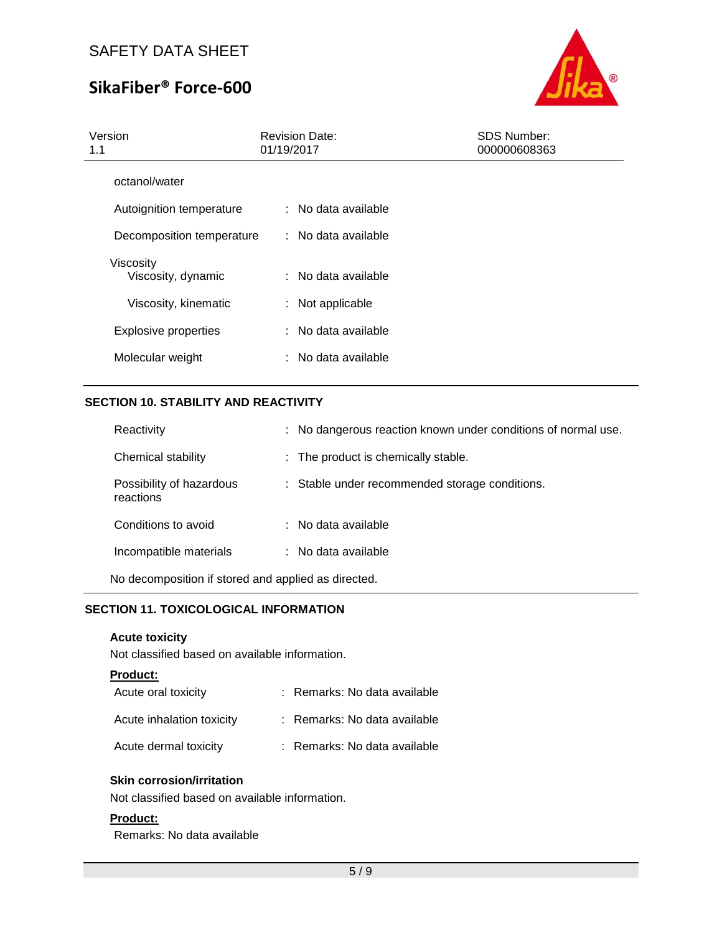# **SikaFiber® Force-600**



| Version<br>1.1                  | <b>Revision Date:</b><br>01/19/2017 | <b>SDS Number:</b><br>000000608363 |
|---------------------------------|-------------------------------------|------------------------------------|
| octanol/water                   |                                     |                                    |
| Autoignition temperature        | : No data available                 |                                    |
| Decomposition temperature       | $:$ No data available               |                                    |
| Viscosity<br>Viscosity, dynamic | : No data available                 |                                    |
| Viscosity, kinematic            | : Not applicable                    |                                    |
| <b>Explosive properties</b>     | : No data available                 |                                    |
| Molecular weight                | $:$ No data available               |                                    |
|                                 |                                     |                                    |

## **SECTION 10. STABILITY AND REACTIVITY**

| : No dangerous reaction known under conditions of normal use. |
|---------------------------------------------------------------|
| : The product is chemically stable.                           |
| : Stable under recommended storage conditions.                |
| : No data available                                           |
| : No data available                                           |
|                                                               |

No decomposition if stored and applied as directed.

## **SECTION 11. TOXICOLOGICAL INFORMATION**

## **Acute toxicity**

Not classified based on available information.

#### **Product:**

| Acute oral toxicity       | : Remarks: No data available |
|---------------------------|------------------------------|
| Acute inhalation toxicity | : Remarks: No data available |
| Acute dermal toxicity     | : Remarks: No data available |

## **Skin corrosion/irritation**

Not classified based on available information.

### **Product:**

Remarks: No data available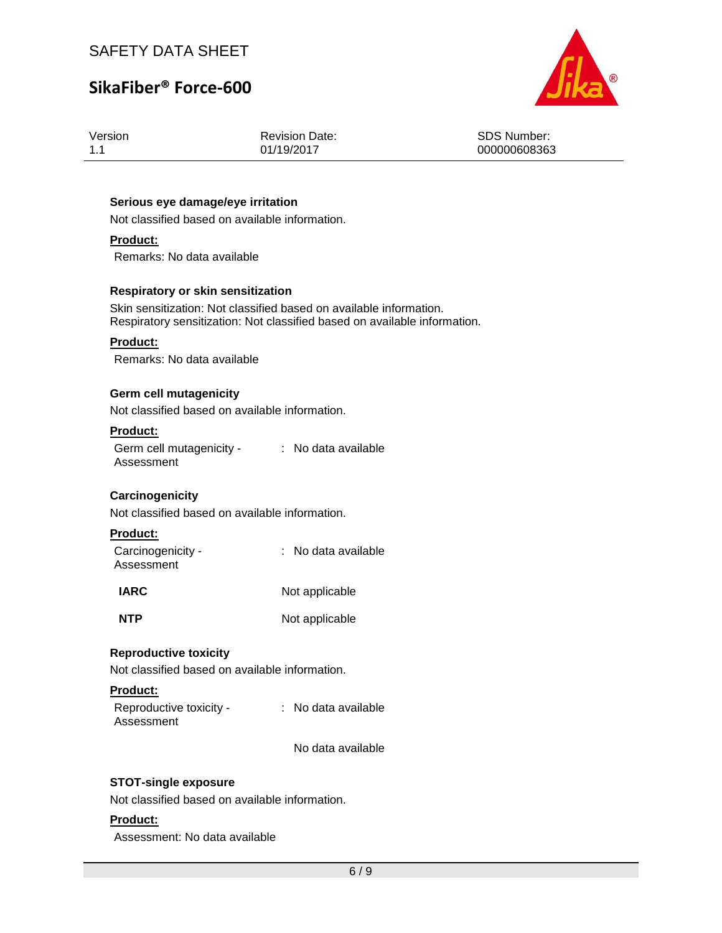# **SikaFiber® Force-600**



| Version |  |  |  |  |
|---------|--|--|--|--|
| 11      |  |  |  |  |

Revision Date: 01/19/2017

SDS Number: 000000608363

### **Serious eye damage/eye irritation**

Not classified based on available information.

## **Product:**

Remarks: No data available

#### **Respiratory or skin sensitization**

Skin sensitization: Not classified based on available information. Respiratory sensitization: Not classified based on available information.

#### **Product:**

Remarks: No data available

#### **Germ cell mutagenicity**

Not classified based on available information.

#### **Product:**

Germ cell mutagenicity - The data available Assessment

## **Carcinogenicity**

Not classified based on available information.

#### **Product:**

| Carcinogenicity -<br>Assessment | : No data available |
|---------------------------------|---------------------|
| <b>IARC</b>                     | Not applicable      |

**NTP** Not applicable

#### **Reproductive toxicity**

Not classified based on available information.

#### **Product:**

| Reproductive toxicity - | : No data available |
|-------------------------|---------------------|
| Assessment              |                     |

No data available

#### **STOT-single exposure**

Not classified based on available information.

#### **Product:**

Assessment: No data available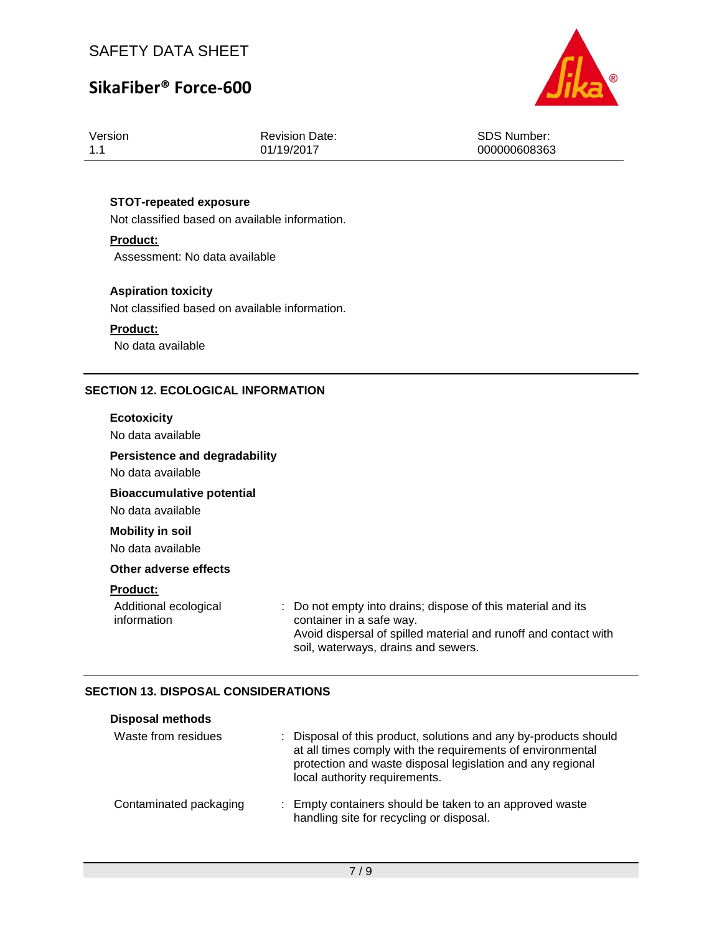# **SikaFiber® Force-600**



| Version |  |
|---------|--|
| 11      |  |

Revision Date: 01/19/2017

SDS Number: 000000608363

## **STOT-repeated exposure**

Not classified based on available information.

### **Product:**

Assessment: No data available

## **Aspiration toxicity**

Not classified based on available information.

### **Product:**

No data available

### **SECTION 12. ECOLOGICAL INFORMATION**

#### **Ecotoxicity**

No data available

## **Persistence and degradability**

No data available

## **Bioaccumulative potential**

No data available

## **Mobility in soil**

No data available

#### **Other adverse effects**

#### **Product:**

| Additional ecological | : Do not empty into drains; dispose of this material and its    |
|-----------------------|-----------------------------------------------------------------|
| information           | container in a safe way.                                        |
|                       | Avoid dispersal of spilled material and runoff and contact with |

#### soil, waterways, drains and sewers.

### **SECTION 13. DISPOSAL CONSIDERATIONS**

| <b>Disposal methods</b> |                                                                                                                                                                                                                               |
|-------------------------|-------------------------------------------------------------------------------------------------------------------------------------------------------------------------------------------------------------------------------|
| Waste from residues     | : Disposal of this product, solutions and any by-products should<br>at all times comply with the requirements of environmental<br>protection and waste disposal legislation and any regional<br>local authority requirements. |
| Contaminated packaging  | : Empty containers should be taken to an approved waste<br>handling site for recycling or disposal.                                                                                                                           |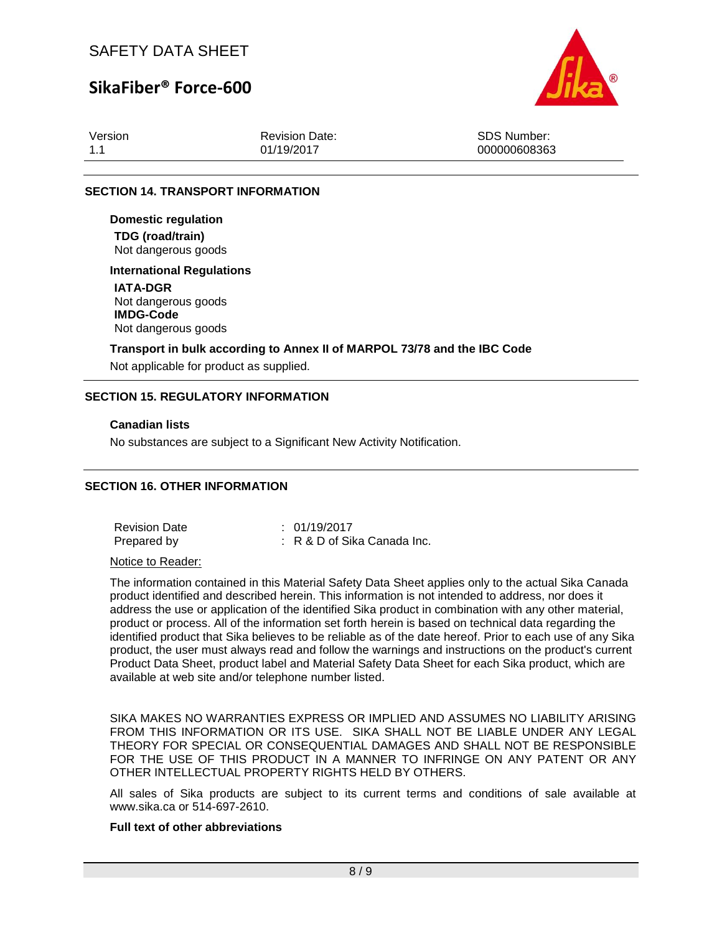## **SikaFiber® Force-600**



| Version | <b>Revision Date:</b> | SDS Number:  |
|---------|-----------------------|--------------|
| 1.1     | 01/19/2017            | 000000608363 |

#### **SECTION 14. TRANSPORT INFORMATION**

**Domestic regulation TDG (road/train)** Not dangerous goods

### **International Regulations**

**IATA-DGR** Not dangerous goods **IMDG-Code** Not dangerous goods

#### **Transport in bulk according to Annex II of MARPOL 73/78 and the IBC Code**

Not applicable for product as supplied.

#### **SECTION 15. REGULATORY INFORMATION**

#### **Canadian lists**

No substances are subject to a Significant New Activity Notification.

### **SECTION 16. OTHER INFORMATION**

Revision Date : 01/19/2017 Prepared by : R & D of Sika Canada Inc.

Notice to Reader:

The information contained in this Material Safety Data Sheet applies only to the actual Sika Canada product identified and described herein. This information is not intended to address, nor does it address the use or application of the identified Sika product in combination with any other material, product or process. All of the information set forth herein is based on technical data regarding the identified product that Sika believes to be reliable as of the date hereof. Prior to each use of any Sika product, the user must always read and follow the warnings and instructions on the product's current Product Data Sheet, product label and Material Safety Data Sheet for each Sika product, which are available at web site and/or telephone number listed.

SIKA MAKES NO WARRANTIES EXPRESS OR IMPLIED AND ASSUMES NO LIABILITY ARISING FROM THIS INFORMATION OR ITS USE. SIKA SHALL NOT BE LIABLE UNDER ANY LEGAL THEORY FOR SPECIAL OR CONSEQUENTIAL DAMAGES AND SHALL NOT BE RESPONSIBLE FOR THE USE OF THIS PRODUCT IN A MANNER TO INFRINGE ON ANY PATENT OR ANY OTHER INTELLECTUAL PROPERTY RIGHTS HELD BY OTHERS.

All sales of Sika products are subject to its current terms and conditions of sale available at www.sika.ca or 514-697-2610.

## **Full text of other abbreviations**